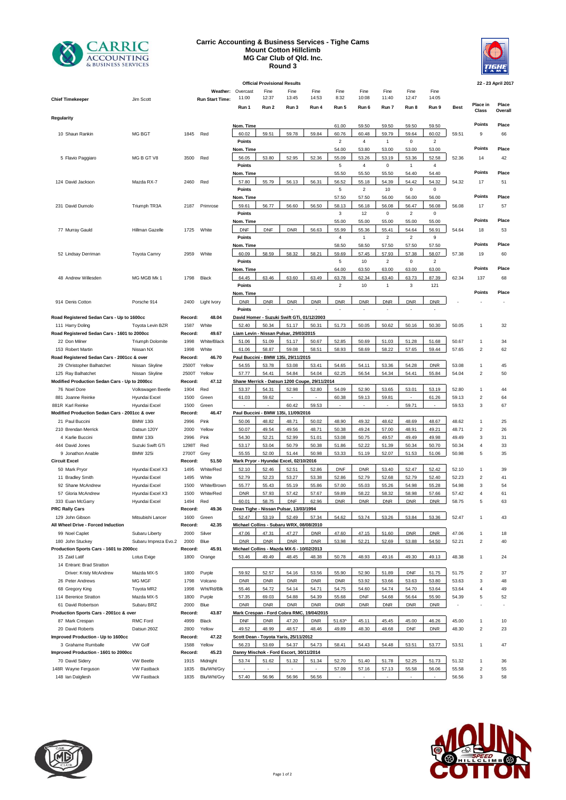

## **Carric Accounting & Business Services - Tighe Cams Mount Cotton Hillclimb MG Car Club of Qld. Inc. Round 3**



|                                                                         |                         |                  |                    |                            | <b>Official Provisional Results</b> |                                                 |            |                           |                         |                         |                    |                           |             |                         | 22 - 23 April 2017 |
|-------------------------------------------------------------------------|-------------------------|------------------|--------------------|----------------------------|-------------------------------------|-------------------------------------------------|------------|---------------------------|-------------------------|-------------------------|--------------------|---------------------------|-------------|-------------------------|--------------------|
|                                                                         |                         |                  | Weather:           | Overcast                   | Fine                                | Fine                                            | Fine       | Fine                      | Fine                    | Fine                    | Fine               | Fine                      |             |                         |                    |
| <b>Chief Timekeeper</b>                                                 | Jim Scott               |                  | Run Start Time:    | 11:00                      | 12:37                               | 13:45                                           | 14:53      | 8:32                      | 10:08                   | 11:40                   | 12:47              | 14:05                     |             |                         |                    |
|                                                                         |                         |                  |                    | Run 1                      | Run 2                               | Run 3                                           | Run 4      | Run 5                     | Run 6                   | Run 7                   | Run 8              | Run 9                     | <b>Best</b> | Place in<br>Class       | Place<br>Overall   |
| Regularity                                                              |                         |                  |                    |                            |                                     |                                                 |            |                           |                         |                         |                    |                           |             |                         |                    |
|                                                                         |                         |                  |                    | Nom. Time                  |                                     |                                                 |            | 61.00                     | 59.50                   | 59.50                   | 59.50              | 59.50                     |             | Points                  | Place              |
| 10 Shaun Rankin                                                         | MG BGT                  | 1845             | Red                | 60.02<br>Points            | 59.51                               | 59.78                                           | 59.84      | 60.76<br>$\boldsymbol{2}$ | 60.48<br>$\overline{4}$ | 59.79<br>$\mathbf{1}$   | 59.64<br>$\pmb{0}$ | 60.02<br>$\boldsymbol{2}$ | 59.51       | 9                       | 66                 |
|                                                                         |                         |                  |                    | Nom. Time                  |                                     |                                                 |            | 54.00                     | 53.80                   | 53.00                   | 53.00              | 53.00                     |             | Points                  | Place              |
| 5 Flavio Paggiaro                                                       | MG B GT V8              | 3500             | Red                | 56.05                      | 53.80                               | 52.95                                           | 52.36      | 55.09                     | 53.26                   | 53.19                   | 53.36              | 52.58                     | 52.36       | 14                      | 42                 |
|                                                                         |                         |                  |                    | Points                     |                                     |                                                 |            | $\,$ 5 $\,$               | $\overline{4}$          | $\mathsf 0$             | $\mathbf{1}$       | $\overline{4}$            |             |                         |                    |
|                                                                         |                         |                  |                    | Nom. Time                  |                                     |                                                 |            | 55.50                     | 55.50                   | 55.50                   | 54.40              | 54.40                     |             | Points                  | Place              |
| 124 David Jackson                                                       | Mazda RX-7              | 2460             | Red                | 57.80                      | 55.79                               | 56.13                                           | 56.31      | 56.52                     | 55.18                   | 54.39                   | 54.42              | 54.32                     | 54.32       | 17                      | 51                 |
|                                                                         |                         |                  |                    | <b>Points</b><br>Nom. Time |                                     |                                                 |            | 5<br>57.50                | $\overline{2}$<br>57.50 | 10<br>56.00             | $\pmb{0}$<br>56.00 | 0<br>56.00                |             | <b>Points</b>           | Place              |
| 231 David Dumolo                                                        | Triumph TR3A            | 2187             | Primrose           | 59.61                      | 56.77                               | 56.60                                           | 56.50      | 58.13                     | 56.18                   | 56.08                   | 56.47              | 56.08                     | 56.08       | 17                      | 57                 |
|                                                                         |                         |                  |                    | <b>Points</b>              |                                     |                                                 |            | 3                         | 12                      | $\mathbf 0$             | $\sqrt{2}$         | $\pmb{0}$                 |             |                         |                    |
|                                                                         |                         |                  |                    | Nom. Time                  |                                     |                                                 |            | 55.00                     | 55.00                   | 55.00                   | 55.00              | 55.00                     |             | Points                  | Place              |
| 77 Murray Gauld                                                         | Hillman Gazelle         | 1725             | White              | <b>DNF</b>                 | <b>DNF</b>                          | <b>DNR</b>                                      | 56.63      | 55.99                     | 55.36                   | 55.41                   | 54.64              | 56.91                     | 54.64       | 18                      | 53                 |
|                                                                         |                         |                  |                    | <b>Points</b>              |                                     |                                                 |            | 4                         | $\mathbf{1}$            | $\overline{\mathbf{c}}$ | $\sqrt{2}$         | 9                         |             | Points                  |                    |
|                                                                         |                         | 2959             | White              | Nom. Time<br>60.09         | 58.59                               | 58.32                                           | 58.21      | 58.50<br>59.69            | 58.50<br>57.45          | 57.50<br>57.93          | 57.50<br>57.38     | 57.50<br>58.07            | 57.38       | 19                      | Place<br>60        |
| 52 Lindsay Derriman                                                     | <b>Toyota Camry</b>     |                  |                    | Points                     |                                     |                                                 |            | $\,$ 5 $\,$               | 10                      | $\overline{2}$          | $\pmb{0}$          | $\overline{2}$            |             |                         |                    |
|                                                                         |                         |                  |                    | Nom. Time                  |                                     |                                                 |            | 64.00                     | 63.50                   | 63.00                   | 63.00              | 63.00                     |             | Points                  | Place              |
| 48 Andrew Willesden                                                     | MG MGB Mk 1             | 1798             | Black              | 64.45                      | 63.46                               | 63.60                                           | 63.49      | 63.78                     | 62.34                   | 63.40                   | 63.73              | 87.39                     | 62.34       | 137                     | 68                 |
|                                                                         |                         |                  |                    | Points                     |                                     |                                                 |            | $\overline{2}$            | 10                      | $\mathbf{1}$            | 3                  | 121                       |             |                         |                    |
|                                                                         |                         |                  |                    | Nom. Time                  |                                     |                                                 |            |                           |                         |                         |                    |                           |             | Points                  | Place              |
| 914 Denis Cotton                                                        | Porsche 914             | 2400             | Light Ivory        | <b>DNR</b><br>Points       | <b>DNR</b>                          | <b>DNR</b>                                      | <b>DNR</b> | DNR                       | <b>DNR</b><br>ä,        | <b>DNR</b><br>Ĭ.        | <b>DNR</b><br>ä,   | <b>DNR</b>                |             |                         |                    |
| Road Registered Sedan Cars - Up to 1600cc                               |                         | Record:          | 48.04              |                            |                                     | David Homer - Suzuki Swift GTi, 01/12/2003      |            |                           |                         |                         |                    |                           |             |                         |                    |
| 111 Harry Doling                                                        | Toyota Levin BZR        | 1587             | White              | 52.40                      | 50.34                               | 51.17                                           | 50.31      | 51.73                     | 50.05                   | 50.62                   | 50.16              | 50.30                     | 50.05       | $\mathbf{1}$            | 32                 |
| Road Registered Sedan Cars - 1601 to 2000cc                             |                         | Record:          | 49.67              |                            |                                     | Liam Levin - Nissan Pulsar, 29/03/2015          |            |                           |                         |                         |                    |                           |             |                         |                    |
| 22 Don Milner                                                           | <b>Triumph Dolomite</b> | 1998             | White/Black        | 51.06                      | 51.09                               | 51.17                                           | 50.67      | 52.85                     | 50.69                   | 51.03                   | 51.28              | 51.68                     | 50.67       | $\overline{1}$          | 34                 |
| 153 Robert Martin                                                       | Nissan NX               | 1998             | White<br>46.70     | 61.06                      | 58.87                               | 59.08<br>Paul Buccini - BMW 135i, 29/11/2015    | 58.51      | 58.93                     | 58.69                   | 58.22                   | 57.65              | 59.44                     | 57.65       | $\overline{2}$          | 62                 |
| Road Registered Sedan Cars - 2001cc & over<br>29 Christopher Balhatchet | Nissan Skyline          | Record:<br>2500T | Yellow             | 54.55                      | 53.78                               | 53.08                                           | 53.41      | 54.65                     | 54.11                   | 53.36                   | 54.28              | <b>DNR</b>                | 53.08       | $\mathbf{1}$            | 45                 |
| 125 Ray Balhatchet                                                      | Nissan Skyline          | 2500T            | Yellow             | 57.77                      | 54.41                               | 54.84                                           | 54.04      | 62.25                     | 56.54                   | 54.34                   | 54.41              | 55.84                     | 54.04       | $\overline{2}$          | 50                 |
| Modified Production Sedan Cars - Up to 2000cc                           |                         | Record:          | 47.12              |                            |                                     | Shane Merrick - Datsun 1200 Coupe, 29/11/2014   |            |                           |                         |                         |                    |                           |             |                         |                    |
| 76 Noel Dore                                                            | Volkswagen Beetle       | 1904             | Red                | 53.37                      | 54.31                               | 52.98                                           | 52.80      | 54.09                     | 52.90                   | 53.65                   | 53.01              | 53.19                     | 52.80       | $\mathbf{1}$            | 44                 |
| 881 Joanne Reinke                                                       | Hyundai Excel           | 1500             | Green              | 61.03                      | 59.62                               |                                                 |            | 60.38                     | 59.13                   | 59.81                   |                    | 61.26                     | 59.13       | $\overline{2}$          | 64                 |
| 881R Karl Reinke<br>Modified Production Sedan Cars - 2001cc & over      | Hyundai Excel           | 1500             | Green<br>46.47     |                            |                                     | 60.42<br>Paul Buccini - BMW 135i, 11/09/2016    | 59.53      |                           |                         |                         | 59.71              |                           | 59.53       | 3                       | 67                 |
| 21 Paul Buccini                                                         | <b>BMW 130i</b>         | Record:<br>2996  | Pink               | 50.06                      | 48.82                               | 48.71                                           | 50.02      | 48.90                     | 49.32                   | 48.62                   | 48.69              | 48.67                     | 48.62       | $\overline{1}$          | 25                 |
| 210 Brendan Merrick                                                     | Datsun 120Y             | 2000             | Yellow             | 50.07                      | 49.54                               | 49.56                                           | 48.71      | 50.38                     | 49.24                   | 57.00                   | 48.91              | 49.21                     | 48.71       | $\overline{2}$          | 26                 |
| 4 Karlie Buccini                                                        | <b>BMW 130i</b>         | 2996             | Pink               | 54.30                      | 52.21                               | 52.99                                           | 51.01      | 53.08                     | 50.75                   | 49.57                   | 49.49              | 49.98                     | 49.49       | 3                       | 31                 |
| 444 David Jones                                                         | Suzuki Swift GTi        | 1298T            | Red                | 53.17                      | 53.04                               | 50.79                                           | 50.38      | 51.86                     | 52.22                   | 51.39                   | 50.34              | 50.70                     | 50.34       | $\overline{4}$          | 33                 |
| 9 Jonathon Anable                                                       | <b>BMW 325i</b>         | 2700T            | Grey               | 55.55                      | 52.00                               | 51.44                                           | 50.98      | 53.33                     | 51.19                   | 52.07                   | 51.53              | 51.06                     | 50.98       | 5                       | 35                 |
| Circuit Excel<br>50 Mark Pryor                                          | Hyundai Excel X3        | Record:<br>1495  | 51.50<br>White/Red | 52.10                      | 52.46                               | Mark Pryor - Hyundai Excel, 02/10/2016<br>52.51 | 52.86      | DNF                       | <b>DNR</b>              | 53.40                   | 52.47              | 52.42                     | 52.10       | $\mathbf{1}$            | 39                 |
| 11 Bradley Smith                                                        | Hyundai Excel           | 1495             | White              | 52.79                      | 52.23                               | 53.27                                           | 53.38      | 52.86                     | 52.79                   | 52.68                   | 52.79              | 52.40                     | 52.23       | $\overline{2}$          | 41                 |
| 92 Shane McAndrew                                                       | Hyundai Excel           | 1500             | White/Brown        | 55.77                      | 55.43                               | 55.19                                           | 55.86      | 57.00                     | 55.03                   | 55.26                   | 54.98              | 55.28                     | 54.98       | 3                       | 54                 |
| 57 Gloria McAndrew                                                      | Hyundai Excel X3        | 1500             | White/Red          | <b>DNR</b>                 | 57.93                               | 57.42                                           | 57.67      | 59.89                     | 58.22                   | 58.32                   | 58.98              | 57.66                     | 57.42       | $\overline{4}$          | 61                 |
| 333 Euan McGarry                                                        | Hyundai Excel           | 1494             | Red                | 60.01                      | 58.75                               | DNF                                             | 62.96      | <b>DNR</b>                | <b>DNR</b>              | <b>DNR</b>              | DNR                | <b>DNR</b>                | 58.75       | 5                       | 63                 |
| <b>PRC Rally Cars</b><br>129 John Gibson                                |                         | Record:          | 49.36              | 52.47                      | 53.19                               | Dean Tighe - Nissan Pulsar, 13/03/1994<br>52.49 | 57.34      | 54.62                     | 53.74                   | 53.26                   | 53.84              | 53.36                     |             | $\overline{1}$          |                    |
| All Wheel Drive - Forced Induction                                      | Mitsubishi Lancer       | 1600<br>Record:  | Green<br>42.35     |                            |                                     | Michael Collins - Subaru WRX, 08/08/2010        |            |                           |                         |                         |                    |                           | 52.47       |                         | 43                 |
| 99 Noel Caplet                                                          | Subaru Liberty          | 2000             | Silver             | 47.06                      | 47.31                               | 47.27                                           | <b>DNR</b> | 47.60                     | 47.15                   | 51.60                   | <b>DNR</b>         | <b>DNR</b>                | 47.06       | $\mathbf{1}$            | 18                 |
| 180 John Stuckey                                                        | Subaru Impreza Evo.2    | 2000             | Blue               | <b>DNR</b>                 | <b>DNR</b>                          | <b>DNR</b>                                      | <b>DNR</b> | 53.98                     | 52.21                   | 52.69                   | 53.88              | 54.50                     | 52.21       | $\overline{\mathbf{c}}$ | 40                 |
| Production Sports Cars - 1601 to 2000cc                                 |                         | Record:          | 45.91              |                            |                                     | Michael Collins - Mazda MX-5 - 10/02/2013       |            |                           |                         |                         |                    |                           |             |                         |                    |
| 15 Zaid Latif                                                           | Lotus Exige             | 1800             | Orange             | 53.46                      | 49.49                               | 48.45                                           | 48.38      | 50.78                     | 48.93                   | 49.16                   | 49.30              | 49.13                     | 48.38       | $\overline{1}$          | 24                 |
| 14 Entrant: Brad Stratton                                               | Mazda MX-5              |                  |                    | 59.92                      | 52.57                               | 54.16                                           | 53.56      | 55.90                     | 52.90                   | 51.89                   | <b>DNF</b>         | 51.75                     | 51.75       | $\overline{\mathbf{c}}$ | 37                 |
| Driver: Kristy McAndrew<br>26 Peter Andrews                             | MG MGF                  | 1800<br>1798     | Purple<br>Volcano  | <b>DNR</b>                 | <b>DNR</b>                          | <b>DNR</b>                                      | <b>DNR</b> | <b>DNR</b>                | 53.92                   | 53.66                   | 53.63              | 53.80                     | 53.63       | 3                       | 48                 |
| 68 Gregory King                                                         | Toyota MR2              | 1998             | Wht/Rd/Blk         | 55.46                      | 54.72                               | 54.14                                           | 54.71      | 54.75                     | 54.60                   | 54.74                   | 54.70              | 53.64                     | 53.64       | $\overline{4}$          | 49                 |
| 114 Berenice Stratton                                                   | Mazda MX-5              | 1800             | Purple             | 57.35                      | 69.03                               | 54.88                                           | 54.39      | 55.68                     | <b>DNF</b>              | 54.68                   | 56.64              | 55.90                     | 54.39       | 5                       | 52                 |
| 61 David Robertson                                                      | Subaru BRZ              | 2000             | Blue               | <b>DNR</b>                 | <b>DNR</b>                          | <b>DNR</b>                                      | <b>DNR</b> | <b>DNR</b>                | <b>DNR</b>              | <b>DNR</b>              | <b>DNR</b>         | <b>DNR</b>                |             |                         |                    |
| Production Sports Cars - 2001cc & over                                  |                         | Record:          | 43.87              |                            |                                     | Mark Crespan - Ford Cobra RMC, 19/04/2015       |            |                           |                         |                         |                    |                           |             |                         |                    |
| 87 Mark Crespan<br>20 David Roberts                                     | RMC Ford<br>Datsun 260Z | 4999             | Black              | <b>DNF</b>                 | <b>DNR</b><br>48.99                 | 47.20                                           | <b>DNR</b> | 51.63^                    | 45.11                   | 45.45                   | 45.00              | 46.26                     | 45.00       | $\mathbf{1}$            | 10<br>23           |
| Improved Production - Up to 1600cc                                      |                         | 2800<br>Record:  | Yellow<br>47.22    | 49.52                      |                                     | 48.57<br>Scott Dean - Toyota Yaris, 25/11/2012  | 48.46      | 49.89                     | 48.30                   | 48.68                   | <b>DNF</b>         | <b>DNR</b>                | 48.30       | $\overline{\mathbf{c}}$ |                    |
| VW Golf<br>3 Grahame Rumballe                                           |                         | 1588             | Yellow             | 56.23                      | 53.69                               | 54.37                                           | 54.73      | 58.41                     | 54.43                   | 54.48                   | 53.51              | 53.77                     | 53.51       | $\overline{1}$          | 47                 |
| Improved Production - 1601 to 2000cc                                    |                         | Record:          | 45.23              |                            |                                     | Danny Mischok - Ford Escort, 30/11/2014         |            |                           |                         |                         |                    |                           |             |                         |                    |
| 70 David Sidery                                                         | <b>VW Beetle</b>        | 1915             | Midnight           | 53.74                      | 51.62                               | 51.32                                           | 51.34      | 52.70                     | 51.40                   | 51.78                   | 52.25              | 51.73                     | 51.32       | $\overline{1}$          | 36                 |
| 148R Wayne Ferguson                                                     | <b>VW Fastback</b>      | 1835             | Blu/Wht/Gry        |                            |                                     |                                                 |            | 57.09                     | 57.16                   | 57.13                   | 55.58              | 56.06                     | 55.58       | $\overline{\mathbf{c}}$ | 55                 |
| 148 Ian Dalgliesh                                                       | <b>VW Fastback</b>      | 1835             | Blu/Wht/Gry        | 57.40                      | 56.96                               | 56.96                                           | 56.56      |                           |                         |                         |                    |                           | 56.56       | 3                       | 58                 |